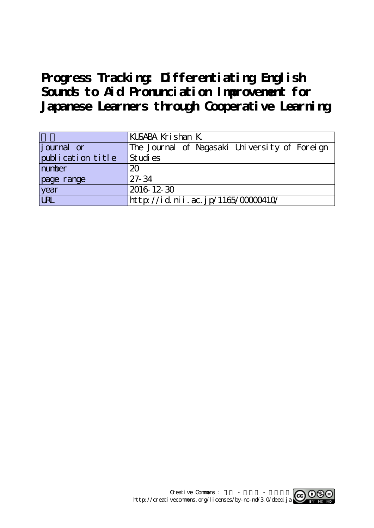# **Progress Tracking: Differentiating English Sounds to Aid Pronunciation Improvement for Japanese Learners through Cooperative Learning**

|                   | KUSABA Krishan K                              |  |  |  |
|-------------------|-----------------------------------------------|--|--|--|
| journal or        | The Journal of Nagasaki University of Foreign |  |  |  |
| publication title | Studies                                       |  |  |  |
| number            | 20                                            |  |  |  |
| page range        | $27 - 34$                                     |  |  |  |
| year<br>URL       | 2016 12 30                                    |  |  |  |
|                   | http://id.nii.ac.jp/1165/00000410/            |  |  |  |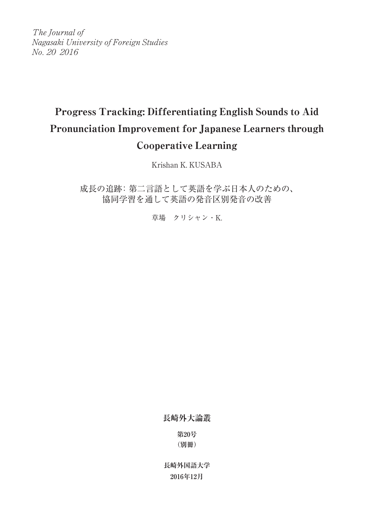The Journal of Nagasaki University of Foreign Studies No. 20 2016

# Progress Tracking: Differentiating English Sounds to Aid Pronunciation Improvement for Japanese Learners through Cooperative Learning

Krishan K. KUSABA

成長の追跡:第二言語として英語を学ぶ日本人のための、 協同学習を通して英語の発音区別発音の改善

草場 クリシャン・K.

**長崎外大論叢**

**第20号 (別冊)**

**長崎外国語大学 2016年12月**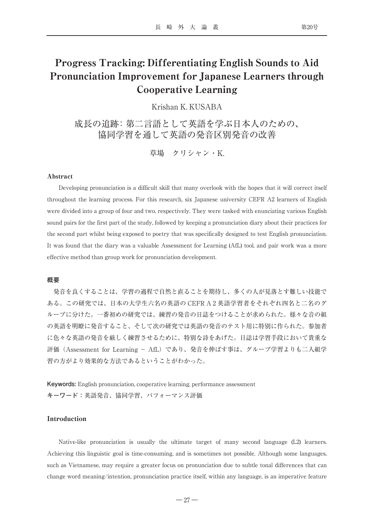# Progress Tracking: Differentiating English Sounds to Aid Pronunciation Improvement for Japanese Learners through Cooperative Learning

Krishan K. KUSABA

成長の追跡:第二言語として英語を学ぶ日本人のための、 協同学習を通して英語の発音区別発音の改善

草場 クリシャン・K.

### Abstract

Developing pronunciation is a difficult skill that many overlook with the hopes that it will correct itself throughout the learning process. For this research, six Japanese university CEFR A2 learners of English were divided into a group of four and two, respectively. They were tasked with enunciating various English sound pairs for the first part of the study, followed by keeping a pronunciation diary about their practices for the second part whilst being exposed to poetry that was specifically designed to test English pronunciation. It was found that the diary was a valuable Assessment for Learning (AfL) tool, and pair work was a more effective method than group work for pronunciation development.

#### **概要**

発音を良くすることは、学習の過程で自然と直ることを期待し、多くの人が見落とす難しい技能で ある。この研究では、日本の大学生六名の英語の CEFR A2英語学習者をそれぞれ四名と二名のグ ループに分けた。一番初めの研究では、練習の発音の日誌をつけることが求められた。様々な音の組 の英語を明瞭に発音すること、そして次の研究では英語の発音のテスト用に特別に作られた。参加者 に色々な英語の発音を厳しく練習させるために、特別な詩をあげた。日誌は学習手段において貴重な 評価 (Assessment for Learning - AfL) であり、発音を伸ばす事は、グループ学習よりも二人組学 習の方がより効果的な方法であるということがわかった。

**Keywords:** English pronunciation, cooperative learning, performance assessment **キーワード:**英語発音、協同学習、パフォーマンス評価

# Introduction

Native-like pronunciation is usually the ultimate target of many second language (L2) learners. Achieving this linguistic goal is time-consuming, and is sometimes not possible. Although some languages, such as Vietnamese, may require a greater focus on pronunciation due to subtle tonal differences that can change word meaning/intention, pronunciation practice itself, within any language, is an imperative feature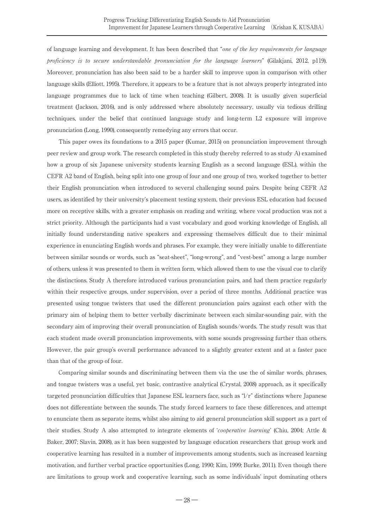of language learning and development. It has been described that "one of the key requirements for language proficiency is to secure understandable pronunciation for the language learners" (Gilakjani, 2012, p119). Moreover, pronunciation has also been said to be a harder skill to improve upon in comparison with other language skills (Elliott, 1995). Therefore, it appears to be a feature that is not always properly integrated into language programmes due to lack of time when teaching (Gilbert, 2008). It is usually given superficial treatment (Jackson, 2016), and is only addressed where absolutely necessary, usually via tedious drilling techniques, under the belief that continued language study and long-term L2 exposure will improve pronunciation (Long, 1990), consequently remedying any errors that occur.

This paper owes its foundations to a 2015 paper (Kumar, 2015) on pronunciation improvement through peer review and group work. The research completed in this study (hereby referred to as study A) examined how a group of six Japanese university students learning English as a second language (ESL), within the CEFR A2 band of English, being split into one group of four and one group of two, worked together to better their English pronunciation when introduced to several challenging sound pairs. Despite being CEFR A2 users, as identified by their university's placement testing system, their previous ESL education had focused more on receptive skills, with a greater emphasis on reading and writing, where vocal production was not a strict priority. Although the participants had a vast vocabulary and good working knowledge of English, all initially found understanding native speakers and expressing themselves difficult due to their minimal experience in enunciating English words and phrases. For example, they were initially unable to differentiate between similar sounds or words, such as "seat-sheet", "long-wrong", and "vest-best" among a large number of others, unless it was presented to them in written form, which allowed them to use the visual cue to clarify the distinctions. Study A therefore introduced various pronunciation pairs, and had them practice regularly within their respective groups, under supervision, over a period of three months. Additional practice was presented using tongue twisters that used the different pronunciation pairs against each other with the primary aim of helping them to better verbally discriminate between each similar-sounding pair, with the secondary aim of improving their overall pronunciation of English sounds/words. The study result was that each student made overall pronunciation improvements, with some sounds progressing further than others. However, the pair group's overall performance advanced to a slightly greater extent and at a faster pace than that of the group of four.

Comparing similar sounds and discriminating between them via the use the of similar words, phrases, and tongue twisters was a useful, yet basic, contrastive analytical (Crystal, 2008) approach, as it specifically targeted pronunciation difficulties that Japanese ESL learners face, such as "l/r" distinctions where Japanese does not differentiate between the sounds. The study forced learners to face these differences, and attempt to enunciate them as separate items, whilst also aiming to aid general pronunciation skill support as a part of their studies. Study A also attempted to integrate elements of ʻcooperative learning' (Chiu, 2004; Attle & Baker, 2007; Slavin, 2008), as it has been suggested by language education researchers that group work and cooperative learning has resulted in a number of improvements among students, such as increased learning motivation, and further verbal practice opportunities (Long, 1990; Kim, 1999; Burke, 2011). Even though there are limitations to group work and cooperative learning, such as some individuals' input dominating others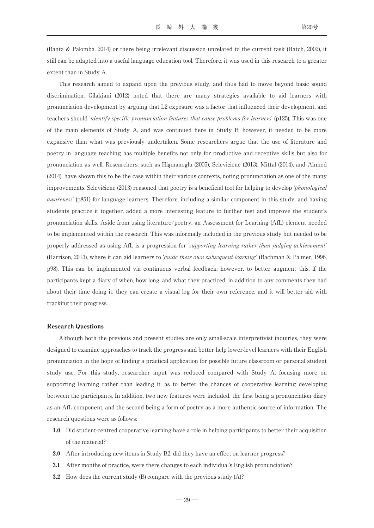(Banta & Palomba, 2014) or there being irrelevant discussion unrelated to the current task (Hatch, 2002), it still can be adapted into a useful language education tool. Therefore, it was used in this research to a greater extent than in Study A.

This research aimed to expand upon the previous study, and thus had to move beyond basic sound discrimination. Gilakjani (2012) noted that there are many strategies available to aid learners with pronunciation development by arguing that L2 exposure was a factor that influenced their development, and teachers should *'identify specific pronunciation features that cause problems for learners'* (p125). This was one of the main elements of Study A, and was continued here in Study B; however, it needed to be more expansive than what was previously undertaken. Some researchers argue that the use of literature and poetry in language teaching has multiple benefits not only for productive and receptive skills but also for pronunciation as well. Researchers, such as Hismanoğlu (2005), Selevičienė (2013), Mittal (2014), and Ahmed (2014), have shown this to be the case within their various contexts, noting pronunciation as one of the many improvements. Selevičiene (2013) reasoned that poetry is a beneficial tool for helping to develop *'phonological* awareness' (p851) for language learners. Therefore, including a similar component in this study, and having students practice it together, added a more interesting feature to further test and improve the student's pronunciation skills. Aside from using literature/poetry, an Assessment for Learning (AfL) element needed to be implemented within the research. This was informally included in the previous study but needed to be properly addressed as using AfL is a progression for ʻsupporting learning rather than judging achievement' (Harrison, 2013), where it can aid learners to ʻguide their own subsequent learning' (Bachman & Palmer, 1996, p98). This can be implemented via continuous verbal feedback; however, to better augment this, if the participants kept a diary of when, how long, and what they practiced, in addition to any comments they had about their time doing it, they can create a visual log for their own reference, and it will better aid with tracking their progress.

#### Research Questions

Although both the previous and present studies are only small-scale interpretivist inquiries, they were designed to examine approaches to track the progress and better help lower-level learners with their English pronunciation in the hope of finding a practical application for possible future classroom or personal student study use. For this study, researcher input was reduced compared with Study A, focusing more on supporting learning rather than leading it, as to better the chances of cooperative learning developing between the participants. In addition, two new features were included, the first being a pronunciation diary as an AfL component, and the second being a form of poetry as a more authentic source of information. The research questions were as follows:

- 1.0 Did student-centred cooperative learning have a role in helping participants to better their acquisition of the material?
- 2.0 After introducing new items in Study B2, did they have an effect on learner progress?
- 3.1 After months of practice, were there changes to each individual's English pronunciation?
- 3.2 How does the current study (B) compare with the previous study (A)?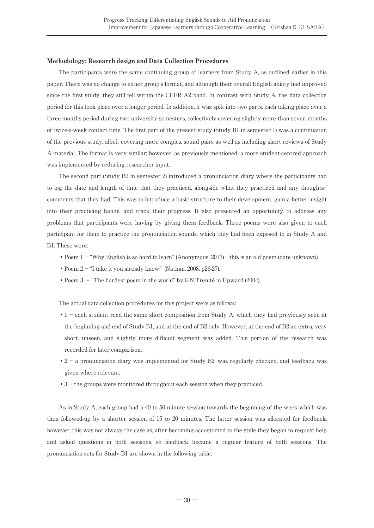## Methodology: Research design and Data Collection Procedures

The participants were the same continuing group of learners from Study A, as outlined earlier in this paper. There was no change to either group's format, and although their overall English ability had improved since the first study, they still fell within the CEFR A2 band. In contrast with Study A, the data collection period for this took place over a longer period. In addition, it was split into two parts, each taking place over a three-months period during two university semesters, collectively covering slightly more than seven months of twice-a-week contact time. The first part of the present study (Study B1 in semester 1) was a continuation of the previous study, albeit covering more complex sound pairs as well as including short reviews of Study A material. The format is very similar; however, as previously mentioned, a more student-centred approach was implemented by reducing researcher input.

The second part (Study B2 in semester 2) introduced a pronunciation diary where the participants had to log the date and length of time that they practiced, alongside what they practiced and any thoughts/ comments that they had. This was to introduce a basic structure to their development, gain a better insight into their practicing habits, and track their progress. It also presented an opportunity to address any problems that participants were having by giving them feedback. Three poems were also given to each participant for them to practice the pronunciation sounds, which they had been exposed to in Study A and B1. These were:

- Poem  $1 -$  "Why English is so hard to learn" (Anonymous, 2013)- this is an old poem (date unknown).
- •Poem 2 "I take it you already know" (Nathan, 2008, p26-27).
- Poem 3 "The hardest poem in the world" by G.N.Trenité in Upward (2004).

The actual data collection procedures for this project were as follows:

- •1 each student read the same short composition from Study A, which they had previously seen at the beginning and end of Study B1, and at the end of B2 only. However, at the end of B2 an extra, very short, unseen, and slightly more difficult segment was added. This portion of the research was recorded for later comparison.
- •2 a pronunciation diary was implemented for Study B2, was regularly checked, and feedback was given where relevant.
- 3 the groups were monitored throughout each session when they practiced.

As in Study A, each group had a 40 to 50 minute session towards the beginning of the week which was then followed-up by a shorter session of 15 to 20 minutes. The latter session was allocated for feedback; however, this was not always the case as, after becoming accustomed to the style they began to request help and asked questions in both sessions, so feedback became a regular feature of both sessions. The pronunciation sets for Study B1 are shown in the following table: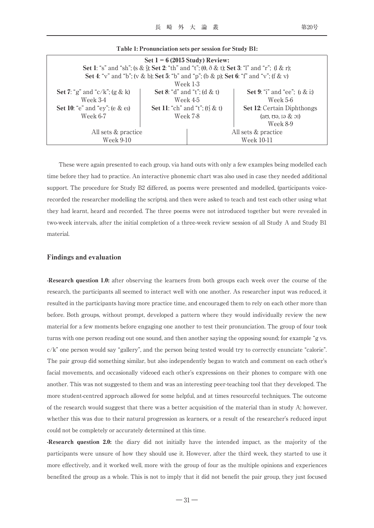| Set $1 - 6$ (2015 Study) Review:                                                                                                    |                                       |                     |                                                   |  |  |  |  |
|-------------------------------------------------------------------------------------------------------------------------------------|---------------------------------------|---------------------|---------------------------------------------------|--|--|--|--|
| <b>Set 1</b> : "s" and "sh"; (s & )); <b>Set 2</b> : "th" and "t"; ( $\theta$ , $\delta$ & t); <b>Set 3</b> : "l" and "r"; (l & r); |                                       |                     |                                                   |  |  |  |  |
| <b>Set 4</b> : "v" and "b"; (v & b); <b>Set 5</b> : "b" and "p"; (b & p); <b>Set 6</b> : "f" and "v"; (f & v)                       |                                       |                     |                                                   |  |  |  |  |
| Week 1-3                                                                                                                            |                                       |                     |                                                   |  |  |  |  |
| Set 7: "g" and "c/k"; (g & k)                                                                                                       | Set 8: "d" and "t"; (d & t)           |                     | <b>Set 9:</b> "i" and "ee"; $(1 \& i)$            |  |  |  |  |
| Week 3-4                                                                                                                            | Week 4-5                              |                     | Week 5-6                                          |  |  |  |  |
| Set 10: " $e$ " and " $ey$ "; ( $e \& e1$ )                                                                                         | <b>Set 11:</b> "ch" and "t"; (t) & t) |                     | <b>Set 12:</b> Certain Diphthongs                 |  |  |  |  |
| Week 6-7                                                                                                                            | Week 7-8                              |                     | $(a\sigma, \sigma\theta, \sigma\theta \& \sigma)$ |  |  |  |  |
|                                                                                                                                     |                                       |                     | Week 8-9                                          |  |  |  |  |
| All sets & practice                                                                                                                 |                                       | All sets & practice |                                                   |  |  |  |  |
| Week 9-10                                                                                                                           |                                       | Week 10-11          |                                                   |  |  |  |  |

| Table 1: Pronunciation sets per session for Study B1: |  |  |
|-------------------------------------------------------|--|--|
|-------------------------------------------------------|--|--|

These were again presented to each group, via hand outs with only a few examples being modelled each time before they had to practice. An interactive phonemic chart was also used in case they needed additional support. The procedure for Study B2 differed, as poems were presented and modelled, (participants voicerecorded the researcher modelling the scripts), and then were asked to teach and test each other using what they had learnt, heard and recorded. The three poems were not introduced together but were revealed in two-week intervals, after the initial completion of a three-week review session of all Study A and Study B1 material.

## Findings and evaluation

-Research question 1.0: after observing the learners from both groups each week over the course of the research, the participants all seemed to interact well with one another. As researcher input was reduced, it resulted in the participants having more practice time, and encouraged them to rely on each other more than before. Both groups, without prompt, developed a pattern where they would individually review the new material for a few moments before engaging one another to test their pronunciation. The group of four took turns with one person reading out one sound, and then another saying the opposing sound; for example "g vs. c/k" one person would say "gallery", and the person being tested would try to correctly enunciate "calorie". The pair group did something similar, but also independently began to watch and comment on each other's facial movements, and occasionally videoed each other's expressions on their phones to compare with one another. This was not suggested to them and was an interesting peer-teaching tool that they developed. The more student-centred approach allowed for some helpful, and at times resourceful techniques. The outcome of the research would suggest that there was a better acquisition of the material than in study A; however, whether this was due to their natural progression as learners, or a result of the researcher's reduced input could not be completely or accurately determined at this time.

-Research question 2.0: the diary did not initially have the intended impact, as the majority of the participants were unsure of how they should use it. However, after the third week, they started to use it more effectively, and it worked well, more with the group of four as the multiple opinions and experiences benefited the group as a whole. This is not to imply that it did not benefit the pair group, they just focused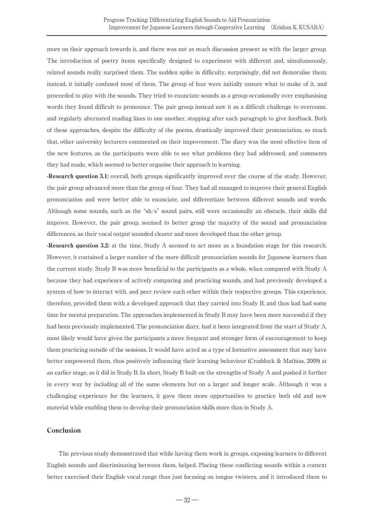more on their approach towards it, and there was not as much discussion present as with the larger group. The introduction of poetry items specifically designed to experiment with different and, simultaneously, related sounds really surprised them. The sudden spike in difficulty, surprisingly, did not demoralise them; instead, it initially confused most of them. The group of four were initially unsure what to make of it, and proceeded to play with the sounds. They tried to enunciate sounds as a group occasionally over emphasising words they found difficult to pronounce. The pair group instead saw it as a difficult challenge to overcome, and regularly alternated reading lines to one another, stopping after each paragraph to give feedback. Both of these approaches, despite the difficulty of the poems, drastically improved their pronunciation, so much that, other university lecturers commented on their improvement. The diary was the most effective item of the new features, as the participants were able to see what problems they had addressed, and comments they had made, which seemed to better organise their approach to learning.

-Research question 3.1: overall, both groups significantly improved over the course of the study. However, the pair group advanced more than the group of four. They had all managed to improve their general English pronunciation and were better able to enunciate, and differentiate between different sounds and words. Although some sounds, such as the "sh/s" sound pairs, still were occasionally an obstacle, their skills did improve. However, the pair group, seemed to better grasp the majority of the sound and pronunciation differences, as their vocal output sounded clearer and more developed than the other group.

-Research question 3.2: at the time, Study A seemed to act more as a foundation stage for this research. However, it contained a larger number of the more difficult pronunciation sounds for Japanese learners than the current study. Study B was more beneficial to the participants as a whole, when compared with Study A because they had experience of actively comparing and practicing sounds, and had previously developed a system of how to interact with, and peer review each other within their respective groups. This experience, therefore, provided them with a developed approach that they carried into Study B, and thus had had some time for mental preparation. The approaches implemented in Study B may have been more successful if they had been previously implemented. The pronunciation diary, had it been integrated from the start of Study A, most likely would have given the participants a more frequent and stronger form of encouragement to keep them practicing outside of the sessions. It would have acted as a type of formative assessment that may have better empowered them, thus positively influencing their learning behaviour (Craddock & Mathias, 2009) at an earlier stage, as it did in Study B. In short, Study B built on the strengths of Study A and pushed it further in every way by including all of the same elements but on a larger and longer scale. Although it was a challenging experience for the learners, it gave them more opportunities to practice both old and new material while enabling them to develop their pronunciation skills more than in Study A.

# Conclusion

The previous study demonstrated that while having them work in groups, exposing learners to different English sounds and discriminating between them, helped. Placing these conflicting sounds within a context better exercised their English vocal range than just focusing on tongue twisters, and it introduced them to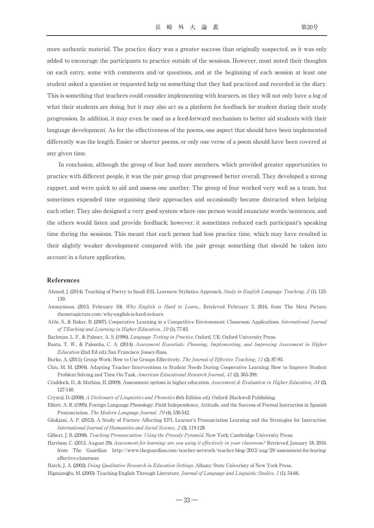more authentic material. The practice diary was a greater success than originally suspected, as it was only added to encourage the participants to practice outside of the sessions. However, most noted their thoughts on each entry, some with comments and/or questions, and at the beginning of each session at least one student asked a question or requested help on something that they had practiced and recorded in the diary. This is something that teachers could consider implementing with learners, as they will not only have a log of what their students are doing, but it may also act as a platform for feedback for student during their study progression. In addition, it may even be used as a feed-forward mechanism to better aid students with their language development. As for the effectiveness of the poems, one aspect that should have been implemented differently was the length. Easier or shorter poems, or only one verse of a poem should have been covered at any given time.

In conclusion, although the group of four had more members, which provided greater opportunities to practice with different people, it was the pair group that progressed better overall. They developed a strong rapport, and were quick to aid and assess one another. The group of four worked very well as a team, but sometimes expended time organising their approaches and occasionally became distracted when helping each other. They also designed a very good system where one person would enunciate words/sentences, and the others would listen and provide feedback; however, it sometimes reduced each participant's speaking time during the sessions. This meant that each person had less practice time, which may have resulted in their slightly weaker development compared with the pair group; something that should be taken into account in a future application.

#### References

- Ahmed, J. (2014). Teaching of Poetry to Saudi ESL Learners: Stylistics Approach. Study in English Language Teaching, 2 (1), 123- 139.
- Anonymous. (2013, February 10). Why English is Hard to Learn... Retrieved February 3, 2016, from The Meta Picture: themetapicture.com/why-english-is-hard-to-learn
- Attle, S., & Baker, B. (2007). Cooperative Learning in a Competitive Environment: Classroom Applications. International Journal of TEaching and Learning in Higher Education, 19 (1), 77-83.

Bachman, L. F., & Palmer, A. S. (1996). Language Testing in Practice. Oxford, UK: Oxford University Press.

- Banta, T. W., & Palomba, C. A. (2014). Assessment Essentials: Planning, Implementing, and Improving Assessment in Higher Education (2nd Ed ed.). San Francisco: Jossey-Bass.
- Burke, A. (2011). Group Work: How to Use Groups Effectively. The Journal of Effective Teaching, 11 (2), 87-95.
- Chiu, M. M. (2004). Adapting Teacher Interventions to Student Needs During Cooperative Learning: How to Improve Student Problem Solving and Time On-Task. American Educational Research Journal, 41 (2), 365-399.
- Craddock, D., & Mathias, H. (2009). Assessment options in higher education. Assessment & Evaluation in Higher Education, 34 (2), 127-140.
- Crystal, D. (2008). A Dictionary of Linguistics and Phonetics (6th Edition ed.). Oxford: Blackwell Publishing.
- Elliott, A. R. (1995). Foreign Language Phonology: Field Independence, Attitude, and the Success of Formal Instruction in Spanish Pronunciation. The Modern Language Journal, 79 (4), 530-542.
- Gilakjani, A. P. (2012). A Study of Factors Affecting EFL Learner's Pronunciation Learning and the Strategies for Instruction. International Journal of Humanities and Social Science, 2 (3), 119-128.

Gilbert, J. B. (2008). Teaching Pronunciation: Using the Prosody Pyramid. New York: Cambridge University Press.

- Harrison, C. (2013, August 29). Assessment for learning: are you using it effectively in your classroom? Retrieved January 18, 2016, from The Guardian: http://www.theguardian.com/teacher-network/teacher-blog/2013/aug/29/assessment-for-learingeffective-classroom
- Hatch, J. A. (2002). Doing Qualitative Research in Education Settings. Albany: State Univeristy of New York Press.
- Hismanoğlu, M. (2005). Teaching English Through Literature. Journal of Language and Linguistic Studies, 1 (1), 54-66.